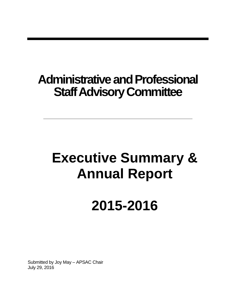### **Administrative and Professional Staff Advisory Committee**

## **Executive Summary & Annual Report**

# **2015-2016**

Submitted by Joy May – APSAC Chair July 29, 2016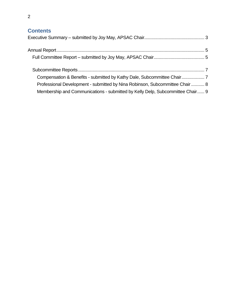#### **Contents**

| Professional Development - submitted by Nina Robinson, Subcommittee Chair  8 |  |
|------------------------------------------------------------------------------|--|
|                                                                              |  |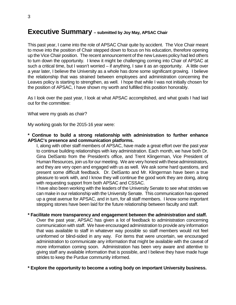#### <span id="page-2-0"></span>**Executive Summary – submitted by Joy May, APSAC Chair**

This past year, I came into the role of APSAC Chair quite by accident. The Vice Chair meant to move into the position of Chair stepped down to focus on his education, therefore opening up the Vice Chair position. The recent announcement of the new Leaves policy had led others to turn down the opportunity. I knew it might be challenging coming into Chair of APSAC at such a critical time, but I wasn't worried – if anything, I saw it as an opportunity. A little over a year later, I believe the University as a whole has done some significant growing. I believe the relationship that was strained between employees and administration concerning the Leaves policy is starting to strengthen, as well. I hope that while I was not initially chosen for the position of APSAC, I have shown my worth and fulfilled this position honorably.

As I look over the past year, I look at what APSAC accomplished, and what goals I had laid out for the committee:

What were my goals as chair?

My working goals for the 2015-16 year were:

#### **\* Continue to build a strong relationship with administration to further enhance APSAC's presence and communication platforms.**

I, along with other staff members of APSAC, have made a great effort over the past year to continue building relationships with key administration. Each month, we have both Dr. Gina DelSanto from the President's office, and Trent Klingerman, Vice President of Human Resources, join us for our meeting. We are very honest with these administrators, and they are very open and engaged with us as well. We ask some hard questions, and present some difficult feedback. Dr. DelSanto and Mr. Klingerman have been a true pleasure to work with, and I know they will continue the good work they are doing, along with requesting support from both APSAC and CSSAC.

I have also been working with the leaders of the University Senate to see what strides we can make in our relationship with the University Senate. This communication has opened up a great avenue for APSAC, and in turn, for all staff members. I know some important stepping stones have been laid for the future relationship between faculty and staff.

#### **\* Facilitate more transparency and engagement between the administration and staff.**

Over the past year, APSAC has given a lot of feedback to administration concerning communication with staff. We have encouraged administration to provide any information that was available to staff in whatever way possible so staff members would not feel uninformed or blind-sided in any way. For items that were uncertain, we encouraged administration to communicate any information that might be available with the caveat of more information coming soon. Administration has been very aware and attentive to giving staff any available information that is possible, and I believe they have made huge strides to keep the Purdue community informed.

**\* Explore the opportunity to become a voting body on important University business.**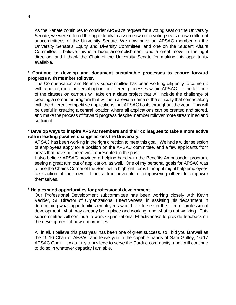As the Senate continues to consider APSAC's request for a voting seat on the University Senate, we were offered the opportunity to assume two non-voting seats on two different subcommittees of the University Senate. We now have an APSAC member on the University Senate's Equity and Diversity Committee, and one on the Student Affairs Committee. I believe this is a huge accomplishment, and a great move in the right direction, and I thank the Chair of the University Senate for making this opportunity available.

#### **\* Continue to develop and document sustainable processes to ensure forward progress with member rollover.**

The Compensation and Benefits subcommittee has been working diligently to come up with a better, more universal option for different processes within APSAC. In the fall, one of the classes on campus will take on a class project that will include the challenge of creating a computer program that will help alleviate some of the difficulty that comes along with the different competitive applications that APSAC hosts throughout the year. This will be useful in creating a central location where all applications can be created and stored, and make the process of forward progress despite member rollover more streamlined and sufficient.

#### **\* Develop ways to inspire APSAC members and their colleagues to take a more active role in leading positive change across the University.**

APSAC has been working in the right direction to meet this goal. We had a wider selection of employees apply for a position on the APSAC committee, and a few applicants from areas that have not been well represented in the past.

I also believe APSAC provided a helping hand with the Benefits Ambassador program, seeing a great turn out of application, as well. One of my personal goals for APSAC was to use the Chair's Corner of the Sentinel to highlight items I thought might help employees take action of their own. I am a true advocate of empowering others to empower themselves.

#### **\* Help expand opportunities for professional development.**

Our Professional Development subcommittee has been working closely with Kevin Vedder, Sr. Director of Organizational Effectiveness, in assisting his department in determining what opportunities employees would like to see in the form of professional development, what may already be in place and working, and what is not working. This subcommittee will continue to work Organizational Effectiveness to provide feedback on the development of new opportunities.

All in all, I believe this past year has been one of great success, so I bid you farewell as the 15-16 Chair of APSAC and leave you in the capable hands of Sam Guffey, 16-17 APSAC Chair. It was truly a privilege to serve the Purdue community, and I will continue to do so in whatever capacity I am able.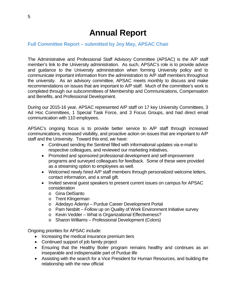### **Annual Report**

#### <span id="page-4-1"></span><span id="page-4-0"></span>**Full Committee Report – submitted by Joy May, APSAC Chair**

The Administrative and Professional Staff Advisory Committee (APSAC) is the A/P staff member's link to the University administration. As such, APSAC's role is to provide advice and guidance to the University administration when forming University policy and to communicate important information from the administration to A/P staff members throughout the university. As an advisory committee, APSAC meets monthly to discuss and make recommendations on issues that are important to A/P staff. Much of the committee's work is completed through our subcommittees of Membership and Communications, Compensation and Benefits, and Professional Development.

During our 2015-16 year, APSAC represented A/P staff on 17 key University Committees, 3 Ad Hoc Committees, 1 Special Task Force, and 3 Focus Groups, and had direct email communication with 110 employees.

APSAC's ongoing focus is to provide better service to A/P staff through increased communications, increased visibility, and proactive action on issues that are important to A/P staff and the University. Toward this end, we have:

- Continued sending the Sentinel filled with informational updates via e-mail to respective colleagues, and reviewed our marketing initiatives.
- Promoted and sponsored professional development and self-improvement programs and surveyed colleagues for feedback. Some of these were provided as a streaming option to employees as well.
- Welcomed newly hired A/P staff members through personalized welcome letters, contact information, and a small gift.
- Invited several guest speakers to present current issues on campus for APSAC consideration
	- o Gina DelSanto
	- o Trent Klingerman
	- o Adedayo Adeniyi Purdue Career Development Portal
	- $\circ$  Pam Nesbitt Follow up on Quality of Work Environment Initiative survey
	- o Kevin Vedder What is Organizational Effectiveness?
	- o Sharon Williams Professional Development (Colors)

Ongoing priorities for APSAC include:

- Increasing the medical insurance premium tiers
- Continued support of job family project
- Ensuring that the Healthy Boiler program remains healthy and continues as an inseparable and indispensable part of Purdue life
- Assisting with the search for a Vice President for Human Resources, and building the relationship with the new official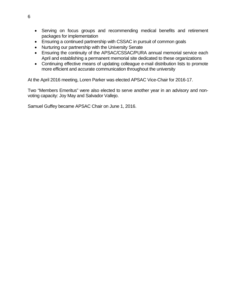- Serving on focus groups and recommending medical benefits and retirement packages for implementation
- Ensuring a continued partnership with CSSAC in pursuit of common goals
- Nurturing our partnership with the University Senate
- Ensuring the continuity of the APSAC/CSSAC/PURA annual memorial service each April and establishing a permanent memorial site dedicated to these organizations
- Continuing effective means of updating colleague e-mail distribution lists to promote more efficient and accurate communication throughout the university

At the April 2016 meeting, Loren Parker was elected APSAC Vice-Chair for 2016-17.

Two "Members Emeritus" were also elected to serve another year in an advisory and nonvoting capacity: Joy May and Salvador Vallejo.

Samuel Guffey became APSAC Chair on June 1, 2016.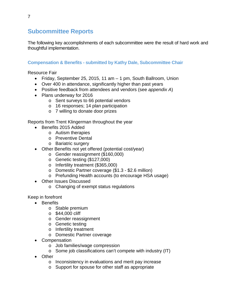#### <span id="page-6-0"></span>**Subcommittee Reports**

The following key accomplishments of each subcommittee were the result of hard work and thoughtful implementation.

#### <span id="page-6-1"></span>**Compensation & Benefits - submitted by Kathy Dale, Subcommittee Chair**

Resource Fair

- Friday, September 25, 2015, 11 am 1 pm, South Ballroom, Union
- Over 400 in attendance, significantly higher than past years
- Positive feedback from attendees and vendors (see *appendix A*)
- Plans underway for 2016
	- o Sent surveys to 66 potential vendors
	- o 16 responses; 14 plan participation
	- o 7 willing to donate door prizes

Reports from Trent Klingerman throughout the year

- Benefits 2015 Added
	- o Autism therapies
	- o Preventive Dental
	- o Bariatric surgery
- Other Benefits not yet offered (potential cost/year)
	- o Gender reassignment (\$160,000)
	- o Genetic testing (\$127,000)
	- o Infertility treatment (\$365,000)
	- o Domestic Partner coverage (\$1.3 \$2.6 million)
	- o Prefunding Health accounts (to encourage HSA usage)
- Other Issues Discussed
	- o Changing of exempt status regulations

Keep in forefront

- Benefits
	- o Stable premium
	- o \$44,000 cliff
	- o Gender reassignment
	- o Genetic testing
	- o Infertility treatment
	- o Domestic Partner coverage
- Compensation
	- o Job families/wage compression
	- o Some job classifications can't compete with industry (IT)
- Other
	- o Inconsistency in evaluations and merit pay increase
	- o Support for spouse for other staff as appropriate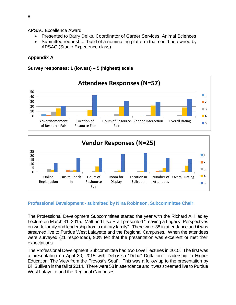APSAC Excellence Award

- Presented to Barry Delks, Coordinator of Career Services, Animal Sciences
- Submitted request for build of a nominating platform that could be owned by APSAC (Studio Experience class)

#### **Appendix A**

#### **Survey responses: 1 (lowest) – 5 (highest) scale**





#### <span id="page-7-0"></span>**Professional Development - submitted by Nina Robinson, Subcommittee Chair**

The Professional Development Subcommittee started the year with the Richard A. Hadley Lecture on March 31, 2015. Matt and Lisa Pratt presented "Leaving a Legacy: Perspectives on work, family and leadership from a military family". There were 38 in attendance and it was streamed live to Purdue West Lafayette and the Regional Campuses. When the attendees were surveyed (21 responded), 90% felt that the presentation was excellent or met their expectations.

The Professional Development Subcommittee had two Lovell lectures in 2015. The first was a presentation on April 30, 2015 with Debasish "Deba" Dutta on "Leadership in Higher Education: The View from the Provost's Seat". This was a follow up to the presentation by Bill Sullivan in the fall of 2014. There were 58 in attendance and it was streamed live to Purdue West Lafayette and the Regional Campuses.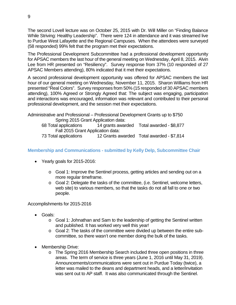The second Lovell lecture was on October 25, 2015 with Dr. Will Miller on "Finding Balance While Striving: Healthy Leadership". There were 124 in attendance and it was streamed live to Purdue West Lafayette and the Regional Campuses. When the attendees were surveyed (58 responded) 99% felt that the program met their expectations.

The Professional Development Subcommittee had a professional development opportunity for APSAC members the last hour of the general meeting on Wednesday, April 8, 2015. Alvin Lee from HR presented on "Resiliency". Survey response from 37% (10 responded of 27 APSAC Members attending), 80% indicated that it met their expectations.

A second professional development opportunity was offered for APSAC members the last hour of our general meeting on Wednesday, November 11, 2015. Sharon Williams from HR presented "Real Colors". Survey responses from 50% (15 responded of 30 APSAC members attending), 100% Agreed or Strongly Agreed that: The subject was engaging, participation and interactions was encouraged, information was relevant and contributed to their personal professional development, and the session met their expectations.

Administrative and Professional – Professional Development Grants up to \$750 Spring 2015 Grant Application data: 68 Total applications 14 grants awarded Total awarded - \$8,877 Fall 2015 Grant Application data: 73 Total applications 12 Grants awarded Total awarded - \$7,814

#### <span id="page-8-0"></span>**Membership and Communications - submitted by Kelly Delp, Subcommittee Chair**

- Yearly goals for 2015-2016:
	- o Goal 1: Improve the Sentinel process, getting articles and sending out on a more regular timeframe.
	- o Goal 2: Delegate the tasks of the committee, (i.e. Sentinel, welcome letters, web site) to various members, so that the tasks do not all fall to one or two people.

Accomplishments for 2015-2016

- Goals:
	- o Goal 1: Johnathan and Sam to the leadership of getting the Sentinel written and published. It has worked very well this year!
	- o Goal 2: The tasks of the committee were divided up between the entire subcommittee, so there wasn't one member doing the bulk of the tasks.
- Membership Drive:
	- o The Spring 2016 Membership Search included three open positions in three areas. The term of service is three years (June 1, 2016 until May 31, 2019). Announcements/communications were sent out in Purdue Today (twice), a letter was mailed to the deans and department heads, and a letter/invitation was sent out to AP staff. It was also communicated through the Sentinel.